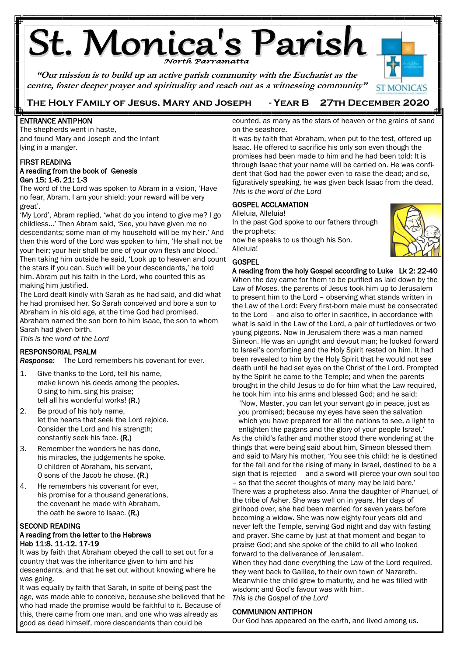# **St. Monica's Parish**

**"Our mission is to build up an active parish community with the Eucharist as the centre, foster deeper prayer and spirituality and reach out as a witnessing community"**



## **The Holy Family of Jesus, Mary and Joseph - Year B 27th December 2020**

#### ļ ENTRANCE ANTIPHON

The shepherds went in haste, and found Mary and Joseph and the Infant lying in a manger.

#### FIRST READING A reading from the book of Genesis Gen 15: 1-6. 21: 1-3

The word of the Lord was spoken to Abram in a vision, 'Have no fear, Abram, I am your shield; your reward will be very great'.

'My Lord', Abram replied, 'what do you intend to give me? I go childless...' Then Abram said, 'See, you have given me no descendants; some man of my household will be my heir.' And then this word of the Lord was spoken to him, 'He shall not be your heir; your heir shall be one of your own flesh and blood.' Then taking him outside he said, 'Look up to heaven and count the stars if you can. Such will be your descendants,' he told him. Abram put his faith in the Lord, who counted this as making him justified.

The Lord dealt kindly with Sarah as he had said, and did what he had promised her. So Sarah conceived and bore a son to Abraham in his old age, at the time God had promised. Abraham named the son born to him Isaac, the son to whom

Sarah had given birth. *This is the word of the Lord*

## RESPONSORIAL PSALM

*Response:* The Lord remembers his covenant for ever.

- 1. Give thanks to the Lord, tell his name, make known his deeds among the peoples. O sing to him, sing his praise; tell all his wonderful works! (R.)
- 2. Be proud of his holy name, let the hearts that seek the Lord rejoice. Consider the Lord and his strength; constantly seek his face. (R.)
- 3. Remember the wonders he has done, his miracles, the judgements he spoke. O children of Abraham, his servant, O sons of the Jacob he chose. (R.)
- 4. He remembers his covenant for ever, his promise for a thousand generations, the covenant he made with Abraham, the oath he swore to Isaac. (R.)

#### SECOND READING A reading from the letter to the Hebrews

#### Heb 11:8. 11-12. 17-19

It was by faith that Abraham obeyed the call to set out for a country that was the inheritance given to him and his descendants, and that he set out without knowing where he was going.

It was equally by faith that Sarah, in spite of being past the age, was made able to conceive, because she believed that he who had made the promise would be faithful to it. Because of this, there came from one man, and one who was already as good as dead himself, more descendants than could be

counted, as many as the stars of heaven or the grains of sand on the seashore.

It was by faith that Abraham, when put to the test, offered up Isaac. He offered to sacrifice his only son even though the promises had been made to him and he had been told: It is through Isaac that your name will be carried on. He was confident that God had the power even to raise the dead; and so, figuratively speaking, he was given back Isaac from the dead. *This is the word of the Lord*

## GOSPEL ACCLAMATION

Alleluia, Alleluia! In the past God spoke to our fathers through the prophets; now he speaks to us though his Son. Alleluia!



## **GOSPEL**

A reading from the holy Gospel according to Luke Lk 2: 22-40 When the day came for them to be purified as laid down by the Law of Moses, the parents of Jesus took him up to Jerusalem to present him to the Lord – observing what stands written in the Law of the Lord: Every first-born male must be consecrated to the Lord – and also to offer in sacrifice, in accordance with what is said in the Law of the Lord, a pair of turtledoves or two young pigeons. Now in Jerusalem there was a man named Simeon. He was an upright and devout man; he looked forward to Israel's comforting and the Holy Spirit rested on him. It had been revealed to him by the Holy Spirit that he would not see death until he had set eyes on the Christ of the Lord. Prompted by the Spirit he came to the Temple; and when the parents brought in the child Jesus to do for him what the Law required, he took him into his arms and blessed God; and he said:

'Now, Master, you can let your servant go in peace, just as you promised; because my eyes have seen the salvation which you have prepared for all the nations to see, a light to enlighten the pagans and the glory of your people Israel.' As the child's father and mother stood there wondering at the things that were being said about him, Simeon blessed them and said to Mary his mother, 'You see this child: he is destined for the fall and for the rising of many in Israel, destined to be a sign that is rejected – and a sword will pierce your own soul too – so that the secret thoughts of many may be laid bare.' There was a prophetess also, Anna the daughter of Phanuel, of the tribe of Asher. She was well on in years. Her days of girlhood over, she had been married for seven years before becoming a widow. She was now eighty-four years old and never left the Temple, serving God night and day with fasting and prayer. She came by just at that moment and began to praise God; and she spoke of the child to all who looked forward to the deliverance of Jerusalem.

When they had done everything the Law of the Lord required, they went back to Galilee, to their own town of Nazareth. Meanwhile the child grew to maturity, and he was filled with wisdom; and God's favour was with him. *This is the Gospel of the Lord*

## COMMUNION ANTIPHON

Our God has appeared on the earth, and lived among us.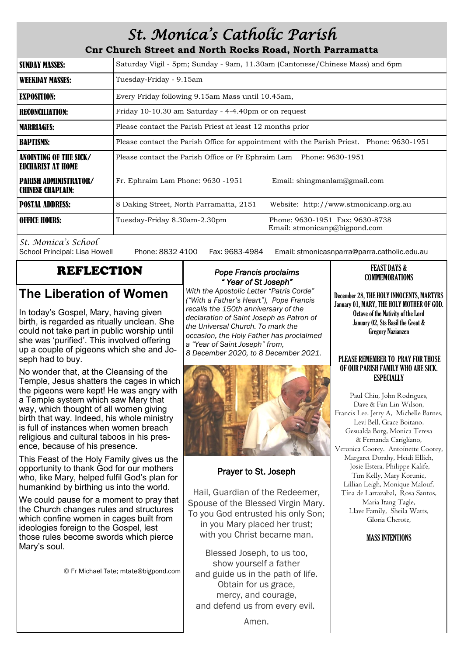# *St. Monica's Catholic Parish*

**Cnr Church Street and North Rocks Road, North Parramatta**

| SUNDAY MASSES:                                           | Saturday Vigil - 5pm; Sunday - 9am, 11.30am (Cantonese/Chinese Mass) and 6pm                     |
|----------------------------------------------------------|--------------------------------------------------------------------------------------------------|
| <b>WEEKDAY MASSES:</b>                                   | Tuesday-Friday - 9.15am                                                                          |
| <b>EXPOSITION:</b>                                       | Every Friday following 9.15am Mass until 10.45am,                                                |
| <b>RECONCILIATION:</b>                                   | Friday 10-10.30 am Saturday - 4-4.40pm or on request                                             |
| <b>MARRIAGES:</b>                                        | Please contact the Parish Priest at least 12 months prior                                        |
| <b>BAPTISMS:</b>                                         | Please contact the Parish Office for appointment with the Parish Priest. Phone: 9630-1951        |
| <b>ANOINTING OF THE SICK/</b><br>EUCHARIST AT HOME       | Please contact the Parish Office or Fr Ephraim Lam Phone: 9630-1951                              |
| <b>PARISH ADMINISTRATOR/</b><br><b>CHINESE CHAPLAIN:</b> | Fr. Ephraim Lam Phone: 9630 -1951<br>Email: shingmanlam@gmail.com                                |
| <b>POSTAL ADDRESS:</b>                                   | 8 Daking Street, North Parramatta, 2151<br>Website: http://www.stmonicanp.org.au                 |
| <b>OFFICE HOURS:</b>                                     | Tuesday-Friday 8.30am-2.30pm<br>Phone: 9630-1951 Fax: 9630-8738<br>Email: stmonicanp@bigpond.com |

*St. Monica's School*

Phone: 8832 4100 Fax: 9683-4984 Email: stmonicasnparra@parra.catholic.edu.au

# REFLECTION

# **The Liberation of Women**

In today's Gospel, Mary, having given birth, is regarded as ritually unclean. She could not take part in public worship until she was 'purified'. This involved offering up a couple of pigeons which she and Joseph had to buy.

No wonder that, at the Cleansing of the Temple, Jesus shatters the cages in which the pigeons were kept! He was angry with a Temple system which saw Mary that way, which thought of all women giving birth that way. Indeed, his whole ministry is full of instances when women breach religious and cultural taboos in his presence, because of his presence.

This Feast of the Holy Family gives us the opportunity to thank God for our mothers who, like Mary, helped fulfil God's plan for humankind by birthing us into the world.

We could pause for a moment to pray that the Church changes rules and structures which confine women in cages built from ideologies foreign to the Gospel, lest those rules become swords which pierce Mary's soul.

© Fr Michael Tate; mtate@bigpond.com

## *Pope Francis proclaims " Year of St Joseph"*

*With the Apostolic Letter "Patris Corde" ("With a Father's Heart"), Pope Francis recalls the 150th anniversary of the declaration of Saint Joseph as Patron of the Universal Church. To mark the occasion, the Holy Father has proclaimed a "Year of Saint Joseph" from, 8 December 2020, to 8 December 2021.* 



# Prayer to St. Joseph

Hail, Guardian of the Redeemer, Spouse of the Blessed Virgin Mary. To you God entrusted his only Son; in you Mary placed her trust; with you Christ became man.

Blessed Joseph, to us too, show yourself a father and guide us in the path of life. Obtain for us grace, mercy, and courage, and defend us from every evil.

#### FEAST DAYS & **COMMEMORATIONS**

December 28, THE HOLY INNOCENTS, MARTYRS January 01, MARY, THE HOLY MOTHER OF GOD. Octave of the Nativity of the Lord January 02, Sts Basil the Great & Gregory Nazianzen

#### PLEASE REMEMBER TO PRAY FOR THOSE OF OUR PARISH FAMILY WHO ARE SICK. **ESPECIALLY**

Paul Chiu, John Rodrigues, Dave & Fan Lin Wilson. Francis Lee, Jerry A, Michelle Barnes, Levi Bell, Grace Boitano, Gesualda Borg, Monica Teresa & Fernanda Carigliano, Veronica Coorey. Antoinette Coorey, Margaret Dorahy, Heidi Ellich, Josie Estera, Philippe Kalife, Tim Kelly, Mary Korunic, Lillian Leigh, Monique Malouf, Tina de Larrazabal, Rosa Santos, Maria Itang Tagle, Llave Family, Sheila Watts, Gloria Cherote,

MASS INTENTIONS

Amen.